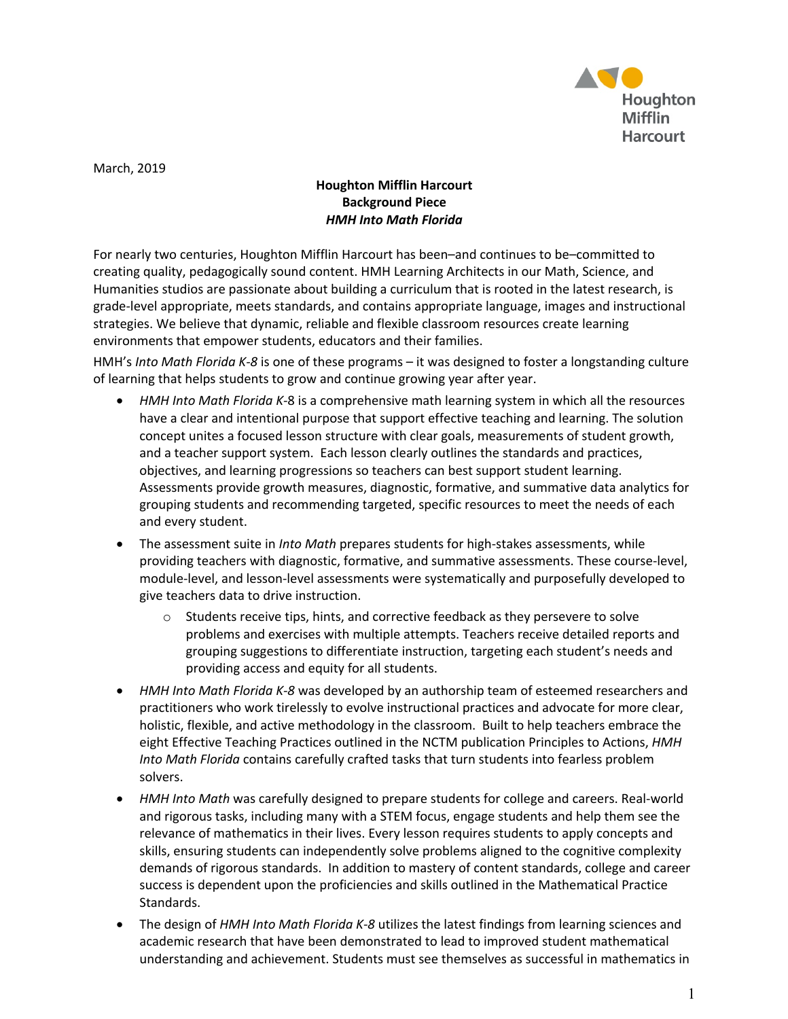

March, 2019

## **Houghton Mifflin Harcourt Background Piece** *HMH Into Math Florida*

For nearly two centuries, Houghton Mifflin Harcourt has been–and continues to be–committed to creating quality, pedagogically sound content. HMH Learning Architects in our Math, Science, and Humanities studios are passionate about building a curriculum that is rooted in the latest research, is grade-level appropriate, meets standards, and contains appropriate language, images and instructional strategies. We believe that dynamic, reliable and flexible classroom resources create learning environments that empower students, educators and their families.

HMH's *Into Math Florida K-8* is one of these programs – it was designed to foster a longstanding culture of learning that helps students to grow and continue growing year after year.

- *HMH Into Math Florida K-*8 is a comprehensive math learning system in which all the resources have a clear and intentional purpose that support effective teaching and learning. The solution concept unites a focused lesson structure with clear goals, measurements of student growth, and a teacher support system. Each lesson clearly outlines the standards and practices, objectives, and learning progressions so teachers can best support student learning. Assessments provide growth measures, diagnostic, formative, and summative data analytics for grouping students and recommending targeted, specific resources to meet the needs of each and every student.
- The assessment suite in *Into Math* prepares students for high-stakes assessments, while providing teachers with diagnostic, formative, and summative assessments. These course-level, module-level, and lesson-level assessments were systematically and purposefully developed to give teachers data to drive instruction.
	- $\circ$  Students receive tips, hints, and corrective feedback as they persevere to solve problems and exercises with multiple attempts. Teachers receive detailed reports and grouping suggestions to differentiate instruction, targeting each student's needs and providing access and equity for all students.
- *HMH Into Math Florida K-8* was developed by an authorship team of esteemed researchers and practitioners who work tirelessly to evolve instructional practices and advocate for more clear, holistic, flexible, and active methodology in the classroom. Built to help teachers embrace the eight Effective Teaching Practices outlined in the NCTM publication Principles to Actions, *HMH Into Math Florida* contains carefully crafted tasks that turn students into fearless problem solvers.
- *HMH Into Math* was carefully designed to prepare students for college and careers. Real-world and rigorous tasks, including many with a STEM focus, engage students and help them see the relevance of mathematics in their lives. Every lesson requires students to apply concepts and skills, ensuring students can independently solve problems aligned to the cognitive complexity demands of rigorous standards. In addition to mastery of content standards, college and career success is dependent upon the proficiencies and skills outlined in the Mathematical Practice Standards.
- The design of *HMH Into Math Florida K-8* utilizes the latest findings from learning sciences and academic research that have been demonstrated to lead to improved student mathematical understanding and achievement. Students must see themselves as successful in mathematics in